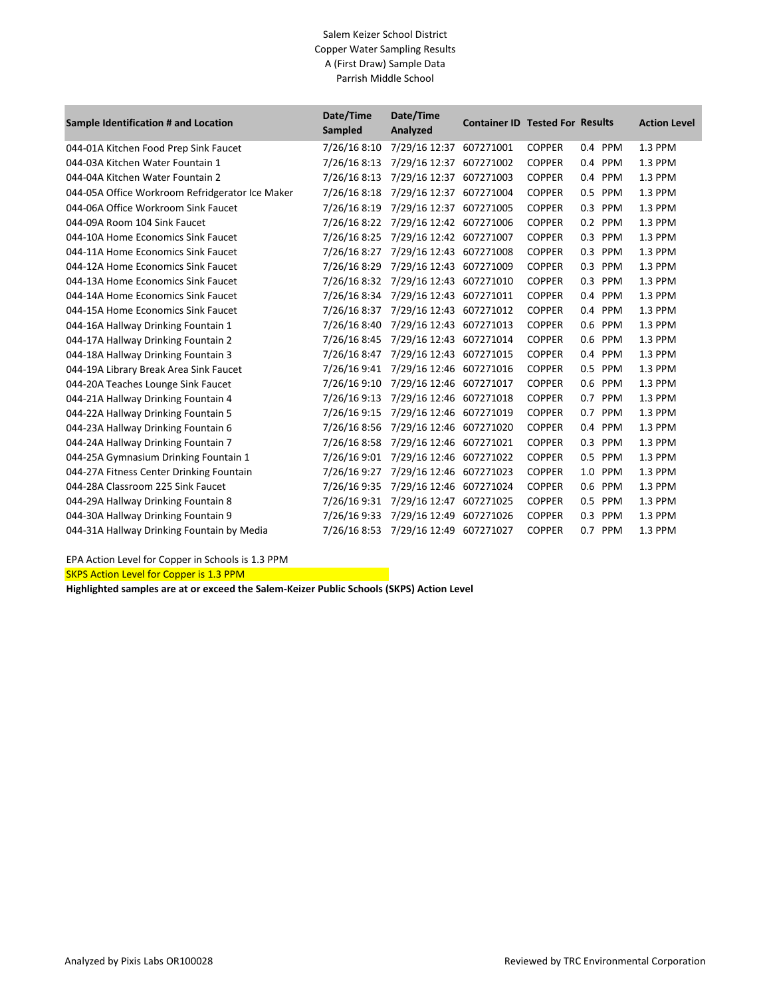## Salem Keizer School District Copper Water Sampling Results A (First Draw) Sample Data Parrish Middle School

| Sample Identification # and Location            | Date/Time<br>Sampled | Date/Time<br>Analyzed   | <b>Container ID Tested For Results</b> |               |            | <b>Action Level</b> |
|-------------------------------------------------|----------------------|-------------------------|----------------------------------------|---------------|------------|---------------------|
| 044-01A Kitchen Food Prep Sink Faucet           | 7/26/16 8:10         | 7/29/16 12:37           | 607271001                              | <b>COPPER</b> | 0.4 PPM    | 1.3 PPM             |
| 044-03A Kitchen Water Fountain 1                | 7/26/16 8:13         | 7/29/16 12:37           | 607271002                              | <b>COPPER</b> | 0.4<br>PPM | 1.3 PPM             |
| 044-04A Kitchen Water Fountain 2                | 7/26/16 8:13         | 7/29/16 12:37           | 607271003                              | <b>COPPER</b> | 0.4 PPM    | 1.3 PPM             |
| 044-05A Office Workroom Refridgerator Ice Maker | 7/26/16 8:18         | 7/29/16 12:37           | 607271004                              | <b>COPPER</b> | 0.5 PPM    | 1.3 PPM             |
| 044-06A Office Workroom Sink Faucet             | 7/26/16 8:19         | 7/29/16 12:37           | 607271005                              | <b>COPPER</b> | 0.3 PPM    | 1.3 PPM             |
| 044-09A Room 104 Sink Faucet                    | 7/26/16 8:22         | 7/29/16 12:42           | 607271006                              | <b>COPPER</b> | 0.2 PPM    | 1.3 PPM             |
| 044-10A Home Economics Sink Faucet              | 7/26/16 8:25         | 7/29/16 12:42 607271007 |                                        | <b>COPPER</b> | 0.3<br>PPM | 1.3 PPM             |
| 044-11A Home Economics Sink Faucet              | 7/26/16 8:27         | 7/29/16 12:43 607271008 |                                        | <b>COPPER</b> | 0.3 PPM    | 1.3 PPM             |
| 044-12A Home Economics Sink Faucet              | 7/26/16 8:29         | 7/29/16 12:43           | 607271009                              | <b>COPPER</b> | 0.3<br>PPM | 1.3 PPM             |
| 044-13A Home Economics Sink Faucet              | 7/26/16 8:32         | 7/29/16 12:43           | 607271010                              | <b>COPPER</b> | 0.3 PPM    | 1.3 PPM             |
| 044-14A Home Economics Sink Faucet              | 7/26/16 8:34         | 7/29/16 12:43 607271011 |                                        | <b>COPPER</b> | PPM<br>0.4 | 1.3 PPM             |
| 044-15A Home Economics Sink Faucet              | 7/26/16 8:37         | 7/29/16 12:43           | 607271012                              | <b>COPPER</b> | 0.4 PPM    | 1.3 PPM             |
| 044-16A Hallway Drinking Fountain 1             | 7/26/16 8:40         | 7/29/16 12:43           | 607271013                              | <b>COPPER</b> | 0.6<br>PPM | 1.3 PPM             |
| 044-17A Hallway Drinking Fountain 2             | 7/26/16 8:45         | 7/29/16 12:43 607271014 |                                        | <b>COPPER</b> | 0.6 PPM    | 1.3 PPM             |
| 044-18A Hallway Drinking Fountain 3             | 7/26/16 8:47         | 7/29/16 12:43 607271015 |                                        | <b>COPPER</b> | 0.4 PPM    | 1.3 PPM             |
| 044-19A Library Break Area Sink Faucet          | 7/26/16 9:41         | 7/29/16 12:46 607271016 |                                        | <b>COPPER</b> | 0.5 PPM    | 1.3 PPM             |
| 044-20A Teaches Lounge Sink Faucet              | 7/26/16 9:10         | 7/29/16 12:46 607271017 |                                        | <b>COPPER</b> | 0.6 PPM    | 1.3 PPM             |
| 044-21A Hallway Drinking Fountain 4             | 7/26/16 9:13         | 7/29/16 12:46 607271018 |                                        | <b>COPPER</b> | 0.7 PPM    | 1.3 PPM             |
| 044-22A Hallway Drinking Fountain 5             | 7/26/16 9:15         | 7/29/16 12:46 607271019 |                                        | <b>COPPER</b> | 0.7 PPM    | 1.3 PPM             |
| 044-23A Hallway Drinking Fountain 6             | 7/26/16 8:56         | 7/29/16 12:46           | 607271020                              | <b>COPPER</b> | 0.4<br>PPM | 1.3 PPM             |
| 044-24A Hallway Drinking Fountain 7             | 7/26/16 8:58         | 7/29/16 12:46 607271021 |                                        | <b>COPPER</b> | 0.3 PPM    | 1.3 PPM             |
| 044-25A Gymnasium Drinking Fountain 1           | 7/26/16 9:01         | 7/29/16 12:46 607271022 |                                        | <b>COPPER</b> | PPM<br>0.5 | 1.3 PPM             |
| 044-27A Fitness Center Drinking Fountain        | 7/26/16 9:27         | 7/29/16 12:46 607271023 |                                        | <b>COPPER</b> | 1.0 PPM    | 1.3 PPM             |
| 044-28A Classroom 225 Sink Faucet               | 7/26/16 9:35         | 7/29/16 12:46           | 607271024                              | <b>COPPER</b> | PPM<br>0.6 | 1.3 PPM             |
| 044-29A Hallway Drinking Fountain 8             | 7/26/16 9:31         | 7/29/16 12:47           | 607271025                              | <b>COPPER</b> | 0.5 PPM    | 1.3 PPM             |
| 044-30A Hallway Drinking Fountain 9             | 7/26/16 9:33         | 7/29/16 12:49           | 607271026                              | <b>COPPER</b> | 0.3 PPM    | 1.3 PPM             |
| 044-31A Hallway Drinking Fountain by Media      | 7/26/16 8:53         | 7/29/16 12:49 607271027 |                                        | <b>COPPER</b> | 0.7 PPM    | 1.3 PPM             |

EPA Action Level for Copper in Schools is 1.3 PPM

SKPS Action Level for Copper is 1.3 PPM

**Highlighted samples are at or exceed the Salem-Keizer Public Schools (SKPS) Action Level**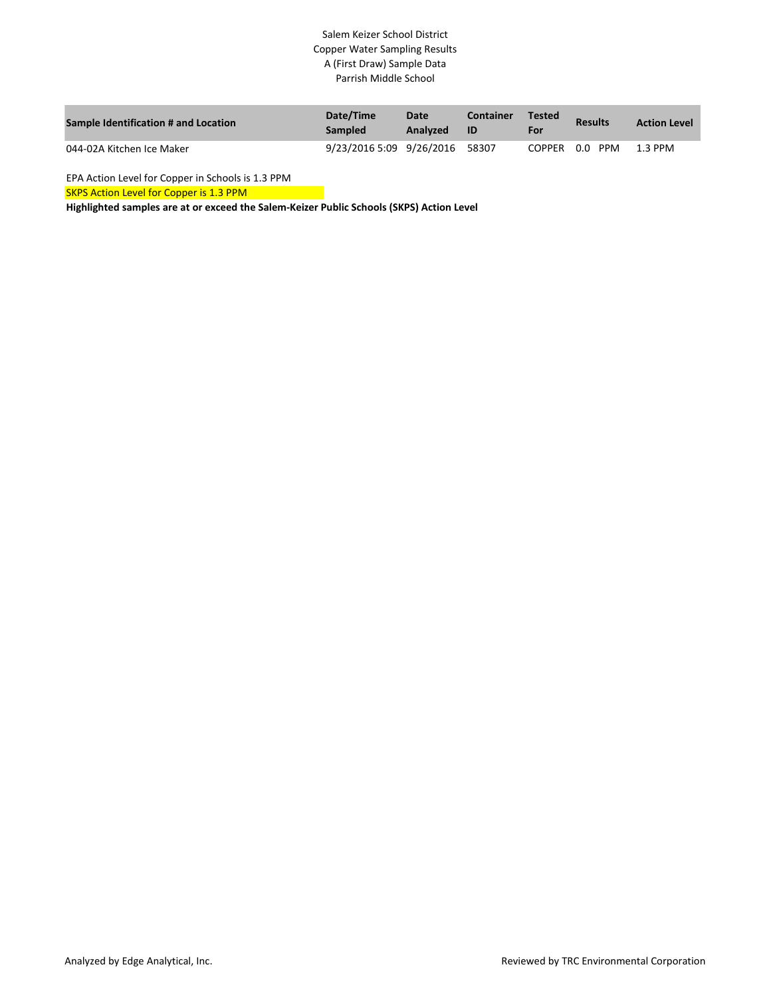## Salem Keizer School District Copper Water Sampling Results A (First Draw) Sample Data Parrish Middle School

| <b>Sample Identification # and Location</b> | Date/Time<br><b>Sampled</b>    | Date<br>Analyzed | <b>Container</b><br>-ID | <b>Tested</b><br>For | <b>Results</b> | <b>Action Level</b> |
|---------------------------------------------|--------------------------------|------------------|-------------------------|----------------------|----------------|---------------------|
| 044-02A Kitchen Ice Maker                   | 9/23/2016 5:09 9/26/2016 58307 |                  |                         |                      | COPPER 0.0 PPM | 1.3 PPM             |

EPA Action Level for Copper in Schools is 1.3 PPM

SKPS Action Level for Copper is 1.3 PPM

**Highlighted samples are at or exceed the Salem-Keizer Public Schools (SKPS) Action Level**